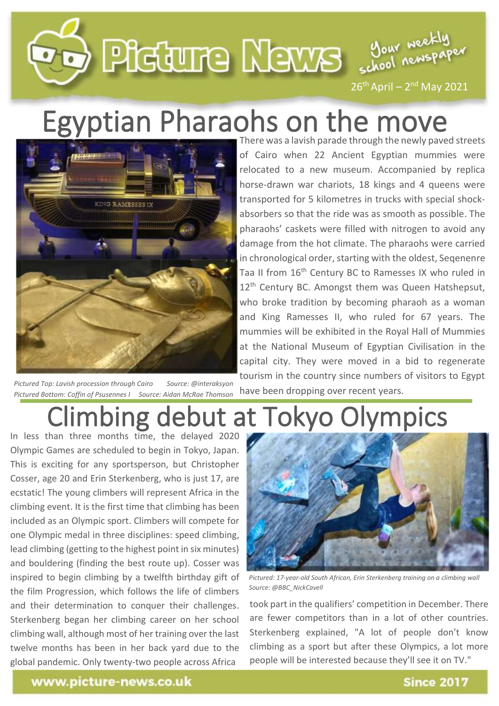# DEGUTE MEWS SOON Neckly  $26<sup>th</sup>$  April –  $2<sup>nd</sup>$  May 2021

## Egyptian Pharaohs on the move



*Pictured Top: Lavish procession through Cairo Source: @interaksyon Pictured Bottom: Coffin of Psusennes I Source: Aidan McRae Thomson*

There was a lavish parade through the newly paved streets of Cairo when 22 Ancient Egyptian mummies were relocated to a new museum. Accompanied by replica horse-drawn war chariots, 18 kings and 4 queens were transported for 5 kilometres in trucks with special shockabsorbers so that the ride was as smooth as possible. The pharaohs' caskets were filled with nitrogen to avoid any damage from the hot climate. The pharaohs were carried in chronological order, starting with the oldest, Seqenenre Taa II from 16<sup>th</sup> Century BC to Ramesses IX who ruled in 12<sup>th</sup> Century BC. Amongst them was Queen Hatshepsut, who broke tradition by becoming pharaoh as a woman and King Ramesses II, who ruled for 67 years. The mummies will be exhibited in the Royal Hall of Mummies at the National Museum of Egyptian Civilisation in the capital city. They were moved in a bid to regenerate tourism in the country since numbers of visitors to Egypt

#### Climbing debut at Tokyo Olympics have been dropping over recent years.

In less than three months time, the delayed 2020 Olympic Games are scheduled to begin in Tokyo, Japan. This is exciting for any sportsperson, but Christopher Cosser, age 20 and Erin Sterkenberg, who is just 17, are ecstatic! The young climbers will represent Africa in the climbing event. It is the first time that climbing has been included as an Olympic sport. Climbers will compete for one Olympic medal in three disciplines: speed climbing, lead climbing (getting to the highest point in six minutes) and bouldering (finding the best route up). Cosser was inspired to begin climbing by a twelfth birthday gift of the film Progression, which follows the life of climbers and their determination to conquer their challenges. Sterkenberg began her climbing career on her school climbing wall, although most of her training over the last twelve months has been in her back yard due to the global pandemic. Only twenty-two people across Africa



*Pictured: 17-year-old South African, Erin Sterkenberg training on a climbing wall Source: @BBC\_NickCavell*

took part in the qualifiers' competition in December. There are fewer competitors than in a lot of other countries. Sterkenberg explained, "A lot of people don't know climbing as a sport but after these Olympics, a lot more people will be interested because they'll see it on TV."